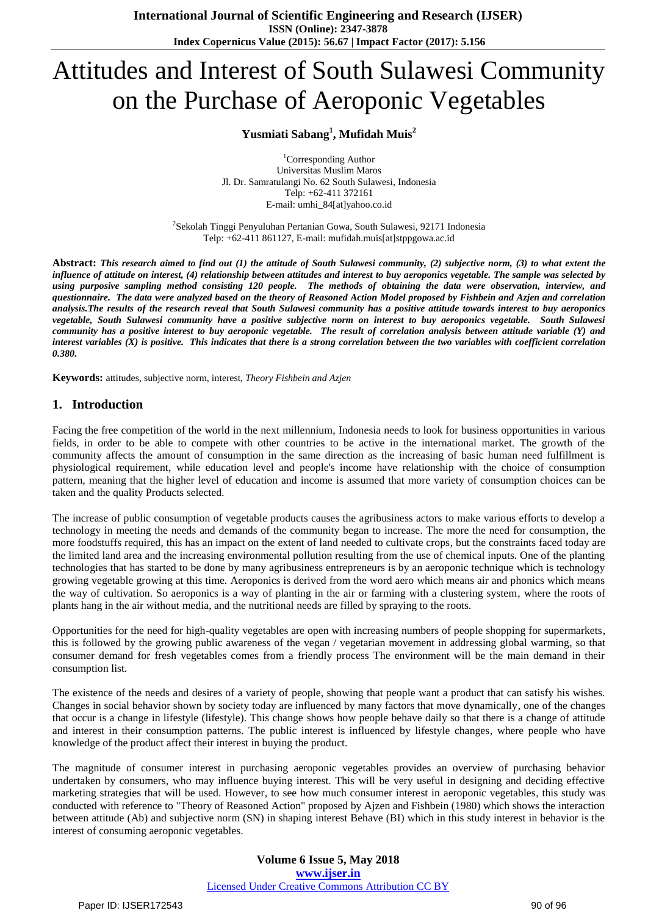# Attitudes and Interest of South Sulawesi Community on the Purchase of Aeroponic Vegetables

# **Yusmiati Sabang<sup>1</sup> , Mufidah Muis<sup>2</sup>**

<sup>1</sup>Corresponding Author Universitas Muslim Maros Jl. Dr. Samratulangi No. 62 South Sulawesi, Indonesia Telp: +62-411 372161 E-mail: umhi\_84[at]yahoo.co.id

<sup>2</sup>Sekolah Tinggi Penyuluhan Pertanian Gowa, South Sulawesi, 92171 Indonesia Telp: +62-411 861127, E-mail: mufidah.muis[at]stppgowa.ac.id

**Abstract:** *This research aimed to find out (1) the attitude of South Sulawesi community, (2) subjective norm, (3) to what extent the influence of attitude on interest, (4) relationship between attitudes and interest to buy aeroponics vegetable. The sample was selected by using purposive sampling method consisting 120 people. The methods of obtaining the data were observation, interview, and questionnaire. The data were analyzed based on the theory of Reasoned Action Model proposed by Fishbein and Azjen and correlation analysis.The results of the research reveal that South Sulawesi community has a positive attitude towards interest to buy aeroponics vegetable, South Sulawesi community have a positive subjective norm on interest to buy aeroponics vegetable. South Sulawesi community has a positive interest to buy aeroponic vegetable. The result of correlation analysis between attitude variable (Y) and interest variables (X) is positive. This indicates that there is a strong correlation between the two variables with coefficient correlation 0.380.*

**Keywords:** attitudes, subjective norm, interest, *Theory Fishbein and Azjen*

# **1. Introduction**

Facing the free competition of the world in the next millennium, Indonesia needs to look for business opportunities in various fields, in order to be able to compete with other countries to be active in the international market. The growth of the community affects the amount of consumption in the same direction as the increasing of basic human need fulfillment is physiological requirement, while education level and people's income have relationship with the choice of consumption pattern, meaning that the higher level of education and income is assumed that more variety of consumption choices can be taken and the quality Products selected.

The increase of public consumption of vegetable products causes the agribusiness actors to make various efforts to develop a technology in meeting the needs and demands of the community began to increase. The more the need for consumption, the more foodstuffs required, this has an impact on the extent of land needed to cultivate crops, but the constraints faced today are the limited land area and the increasing environmental pollution resulting from the use of chemical inputs. One of the planting technologies that has started to be done by many agribusiness entrepreneurs is by an aeroponic technique which is technology growing vegetable growing at this time. Aeroponics is derived from the word aero which means air and phonics which means the way of cultivation. So aeroponics is a way of planting in the air or farming with a clustering system, where the roots of plants hang in the air without media, and the nutritional needs are filled by spraying to the roots.

Opportunities for the need for high-quality vegetables are open with increasing numbers of people shopping for supermarkets, this is followed by the growing public awareness of the vegan / vegetarian movement in addressing global warming, so that consumer demand for fresh vegetables comes from a friendly process The environment will be the main demand in their consumption list.

The existence of the needs and desires of a variety of people, showing that people want a product that can satisfy his wishes. Changes in social behavior shown by society today are influenced by many factors that move dynamically, one of the changes that occur is a change in lifestyle (lifestyle). This change shows how people behave daily so that there is a change of attitude and interest in their consumption patterns. The public interest is influenced by lifestyle changes, where people who have knowledge of the product affect their interest in buying the product.

The magnitude of consumer interest in purchasing aeroponic vegetables provides an overview of purchasing behavior undertaken by consumers, who may influence buying interest. This will be very useful in designing and deciding effective marketing strategies that will be used. However, to see how much consumer interest in aeroponic vegetables, this study was conducted with reference to "Theory of Reasoned Action" proposed by Ajzen and Fishbein (1980) which shows the interaction between attitude (Ab) and subjective norm (SN) in shaping interest Behave (BI) which in this study interest in behavior is the interest of consuming aeroponic vegetables.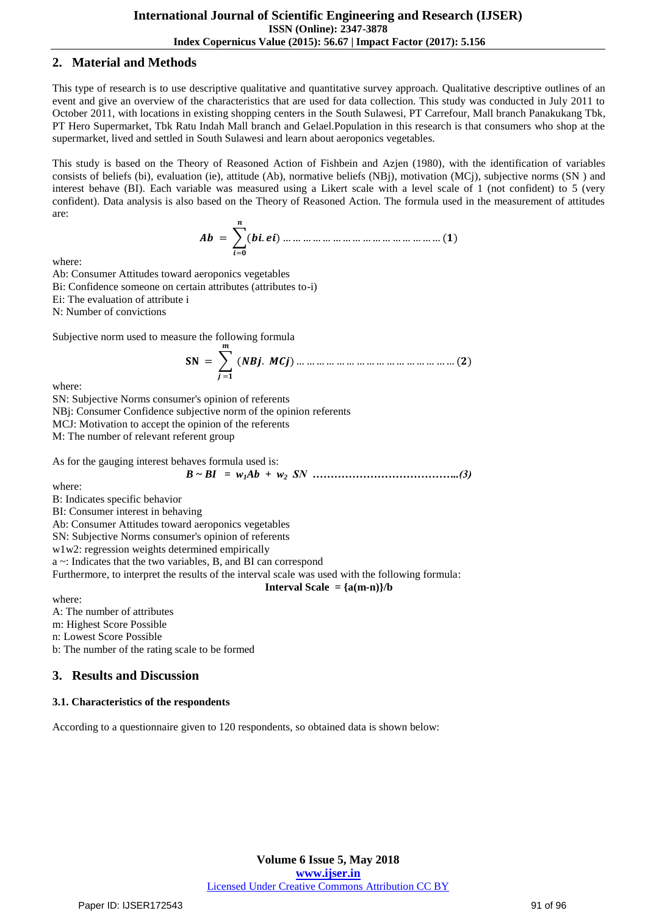# **2. Material and Methods**

This type of research is to use descriptive qualitative and quantitative survey approach. Qualitative descriptive outlines of an event and give an overview of the characteristics that are used for data collection. This study was conducted in July 2011 to October 2011, with locations in existing shopping centers in the South Sulawesi, PT Carrefour, Mall branch Panakukang Tbk, PT Hero Supermarket, Tbk Ratu Indah Mall branch and Gelael.Population in this research is that consumers who shop at the supermarket, lived and settled in South Sulawesi and learn about aeroponics vegetables.

This study is based on the Theory of Reasoned Action of Fishbein and Azjen (1980), with the identification of variables consists of beliefs (bi), evaluation (ie), attitude (Ab), normative beliefs (NBj), motivation (MCj), subjective norms (SN ) and interest behave (BI). Each variable was measured using a Likert scale with a level scale of 1 (not confident) to 5 (very confident). Data analysis is also based on the Theory of Reasoned Action. The formula used in the measurement of attitudes are:

 = (. ) = … … … … … … … … … … … … … … … … ()

where:

Ab: Consumer Attitudes toward aeroponics vegetables Bi: Confidence someone on certain attributes (attributes to-i) Ei: The evaluation of attribute i N: Number of convictions

Subjective norm used to measure the following formula

 = (. ) = … … … … … … … … … … … … … … … … ()

where:

SN: Subjective Norms consumer's opinion of referents NBj: Consumer Confidence subjective norm of the opinion referents MCJ: Motivation to accept the opinion of the referents M: The number of relevant referent group

As for the gauging interest behaves formula used is:

$$
B \sim BI = w_1 Ab + w_2 SN \dots (3)
$$

where:

B: Indicates specific behavior

BI: Consumer interest in behaving

Ab: Consumer Attitudes toward aeroponics vegetables

SN: Subjective Norms consumer's opinion of referents

w1w2: regression weights determined empirically

a ~: Indicates that the two variables, B, and BI can correspond

Furthermore, to interpret the results of the interval scale was used with the following formula:

## **Interval Scale** =  ${a(m-n)}/b$

where:

A: The number of attributes

m: Highest Score Possible

n: Lowest Score Possible

b: The number of the rating scale to be formed

# **3. Results and Discussion**

## **3.1. Characteristics of the respondents**

According to a questionnaire given to 120 respondents, so obtained data is shown below: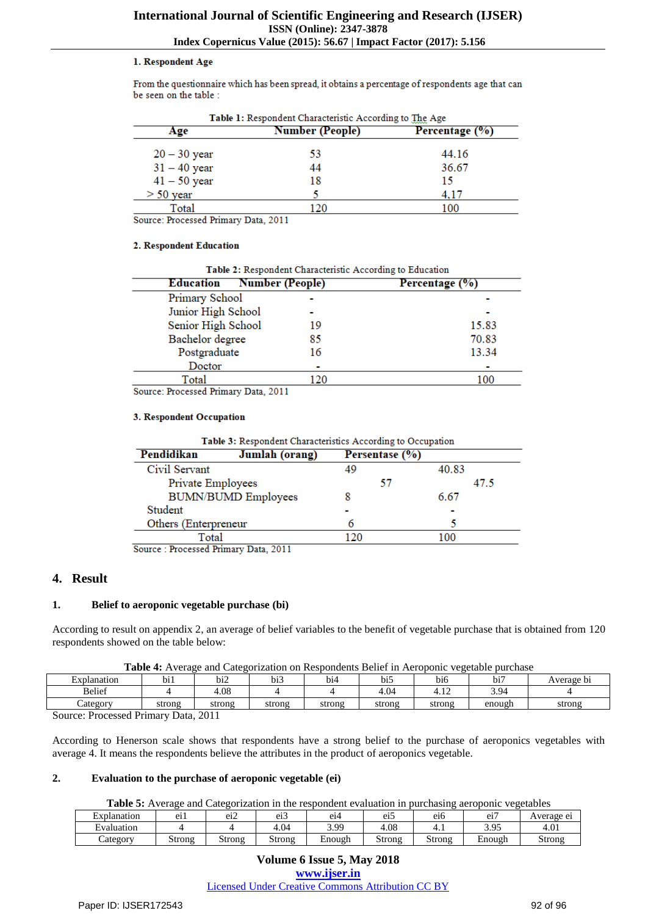#### 1. Respondent Age

From the questionnaire which has been spread, it obtains a percentage of respondents age that can be seen on the table :

| Age            | Number (People) | Percentage (%) |
|----------------|-----------------|----------------|
| $20 - 30$ year | 53              | 44.16          |
| $31 - 40$ year | 44              | 36.67          |
| $41 - 50$ year | 18              | 15             |
| $> 50$ year    |                 | 4.17           |
| Total          |                 | 100            |

Source: Processed Primary Data, 2011

#### 2. Respondent Education

| Table 2: Respondent Characteristic According to Education |                |  |  |  |  |
|-----------------------------------------------------------|----------------|--|--|--|--|
| <b>Number (People)</b>                                    | Percentage (%) |  |  |  |  |
|                                                           |                |  |  |  |  |
|                                                           |                |  |  |  |  |
| 19                                                        | 15.83          |  |  |  |  |
| 85                                                        | 70.83          |  |  |  |  |
| 16                                                        | 13.34          |  |  |  |  |
|                                                           |                |  |  |  |  |
| 120                                                       | 100            |  |  |  |  |
|                                                           |                |  |  |  |  |

Source: Processed Primary Data, 2011

#### 3. Respondent Occupation

| Table 3: Respondent Characteristics According to Occupation |                            |                |       |  |  |  |
|-------------------------------------------------------------|----------------------------|----------------|-------|--|--|--|
| Pendidikan                                                  | Jumlah (orang)             | Persentase (%) |       |  |  |  |
| Civil Servant                                               |                            | 49             | 40.83 |  |  |  |
| Private Employees                                           |                            | 57             | 47.5  |  |  |  |
|                                                             | <b>BUMN/BUMD Employees</b> | 8              | 6.67  |  |  |  |
| Student                                                     |                            |                |       |  |  |  |
| Others (Enterpreneur                                        |                            | 6              |       |  |  |  |
| Total                                                       |                            | 120            | 100   |  |  |  |
| Source: Processed Primary Data, 2011                        |                            |                |       |  |  |  |

# **4. Result**

## **1. Belief to aeroponic vegetable purchase (bi)**

According to result on appendix 2, an average of belief variables to the benefit of vegetable purchase that is obtained from 120 respondents showed on the table below:

|  |  | Table 4: Average and Categorization on Respondents Belief in Aeroponic vegetable purchase |
|--|--|-------------------------------------------------------------------------------------------|
|  |  |                                                                                           |

| Explanation            | .<br>b11          | $\overline{\phantom{a}}$<br>012 | $\cdot$<br>bi3 | b14    | .<br>bi. | $\cdot$ $\cdot$<br>b16 | .<br>bï. | Average bi |
|------------------------|-------------------|---------------------------------|----------------|--------|----------|------------------------|----------|------------|
| <b>Belief</b>          |                   | +.08                            |                |        | +.04     | $\overline{10}$<br>.   | 3.94     |            |
| Lategory               | strong            | strong                          | strong         | strong | strong   | strong                 | enough   | strong     |
| $\mathbf{r}$<br>$\sim$ | $\mathbf{\bar{}}$ | 0.011                           |                |        |          |                        |          |            |

Source: Processed Primary Data, 2011

According to Henerson scale shows that respondents have a strong belief to the purchase of aeroponics vegetables with average 4. It means the respondents believe the attributes in the product of aeroponics vegetable.

## **2. Evaluation to the purchase of aeroponic vegetable (ei)**

**Table 5:** Average and Categorization in the respondent evaluation in purchasing aeroponic vegetables

| Explanation      | Δ1<br>ᄖ | $\cdot$ $\sim$<br>Δ1<br>◡⊥∠ | $^{\circ}$<br>ີ | e14            | $\cdot$ $-$<br><u>оп</u> *<br>ັ້ | e16    | $\cdot$ $-$<br>ഹ<br>◡ェ | Average ei |
|------------------|---------|-----------------------------|-----------------|----------------|----------------------------------|--------|------------------------|------------|
| -<br>Evaluation  |         |                             | .04             | 3.QQ<br>ر ر. ب | 4.08                             | .      | -05<br><u>.</u>        | 4.01       |
| $\angle$ ategory | Strong  | Strong                      | Strong          | Enough         | Strong                           | Strong | Enough                 | Strong     |

## **Volume 6 Issue 5, May 2018 <www.ijser.in>** [Licensed Under Creative Commons Attribution CC BY](http://creativecommons.org/licenses/by/4.0/)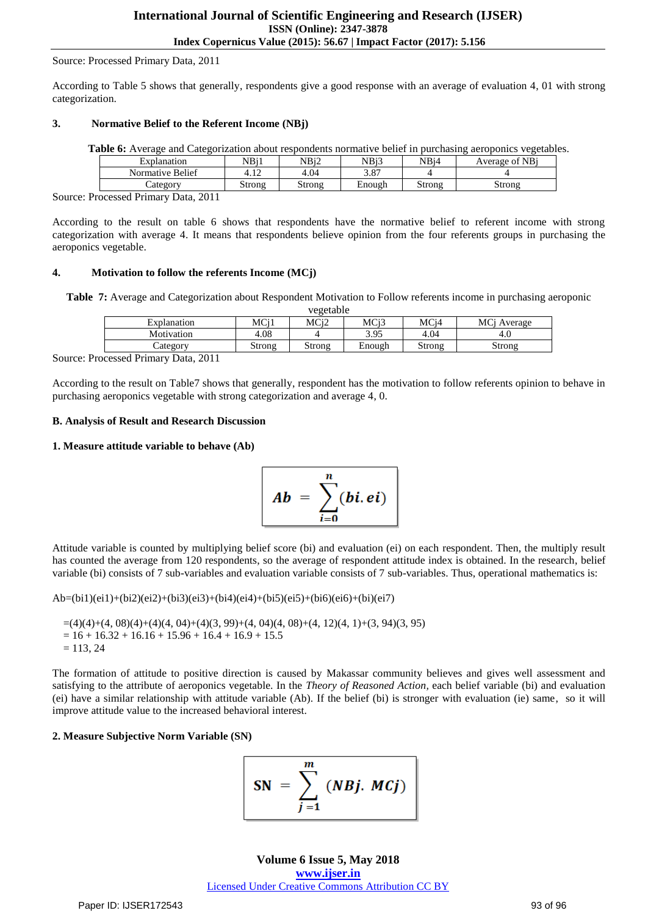#### Source: Processed Primary Data, 2011

According to Table 5 shows that generally, respondents give a good response with an average of evaluation 4, 01 with strong categorization.

#### **3. Normative Belief to the Referent Income (NBj)**

| <b>Table 6:</b> Average and Categorization about respondents normative belief in purchasing aeroponics vegetables. |        |        |        |        |                |  |
|--------------------------------------------------------------------------------------------------------------------|--------|--------|--------|--------|----------------|--|
| Explanation                                                                                                        | NBi1   | NBi2   | NBi3   | NBi4   | Average of NBi |  |
| Normative Belief                                                                                                   | 4.12   | 4.04   | 3.87   |        |                |  |
| Category                                                                                                           | Strong | Strong | Enough | Strong | Strong         |  |

Source: Processed Primary Data, 2011

According to the result on table 6 shows that respondents have the normative belief to referent income with strong categorization with average 4. It means that respondents believe opinion from the four referents groups in purchasing the aeroponics vegetable.

#### **4. Motivation to follow the referents Income (MCj)**

**Table 7:** Average and Categorization about Respondent Motivation to Follow referents income in purchasing aeroponic

|             |                 | vegetable |                   |                   |             |
|-------------|-----------------|-----------|-------------------|-------------------|-------------|
| Explanation | MC <sub>i</sub> | MCi2      | MC <sub>i</sub> 3 | MC <sub>i</sub> 4 | MCi Average |
| Motivation  | 4.08            |           | 3.95              | 4.04              | 4.O         |
| Category    | Strong          | Strong    | Enough            | Strong            | Strong      |

Source: Processed Primary Data, 2011

According to the result on Table7 shows that generally, respondent has the motivation to follow referents opinion to behave in purchasing aeroponics vegetable with strong categorization and average 4, 0.

#### **B. Analysis of Result and Research Discussion**

#### **1. Measure attitude variable to behave (Ab)**

$$
Ab = \sum_{i=0}^{n} (bi. ei)
$$

Attitude variable is counted by multiplying belief score (bi) and evaluation (ei) on each respondent. Then, the multiply result has counted the average from 120 respondents, so the average of respondent attitude index is obtained. In the research, belief variable (bi) consists of 7 sub-variables and evaluation variable consists of 7 sub-variables. Thus, operational mathematics is:

Ab=(bi1)(ei1)+(bi2)(ei2)+(bi3)(ei3)+(bi4)(ei4)+(bi5)(ei5)+(bi6)(ei6)+(bi)(ei7)

```
=(4)(4)+(4, 08)(4)+(4)(4, 04)+(4)(3, 99)+(4, 04)(4, 08)+(4, 12)(4, 1)+(3, 94)(3, 95)= 16 + 16.32 + 16.16 + 15.96 + 16.4 + 16.9 + 15.5= 113, 24
```
The formation of attitude to positive direction is caused by Makassar community believes and gives well assessment and satisfying to the attribute of aeroponics vegetable. In the *Theory of Reasoned Action,* each belief variable (bi) and evaluation (ei) have a similar relationship with attitude variable (Ab). If the belief (bi) is stronger with evaluation (ie) same, so it will improve attitude value to the increased behavioral interest.

## **2. Measure Subjective Norm Variable (SN)**

$$
SN = \sum_{j=1}^{m} (NBj. \, MGj)
$$

**Volume 6 Issue 5, May 2018 <www.ijser.in>** [Licensed Under Creative Commons Attribution CC BY](http://creativecommons.org/licenses/by/4.0/)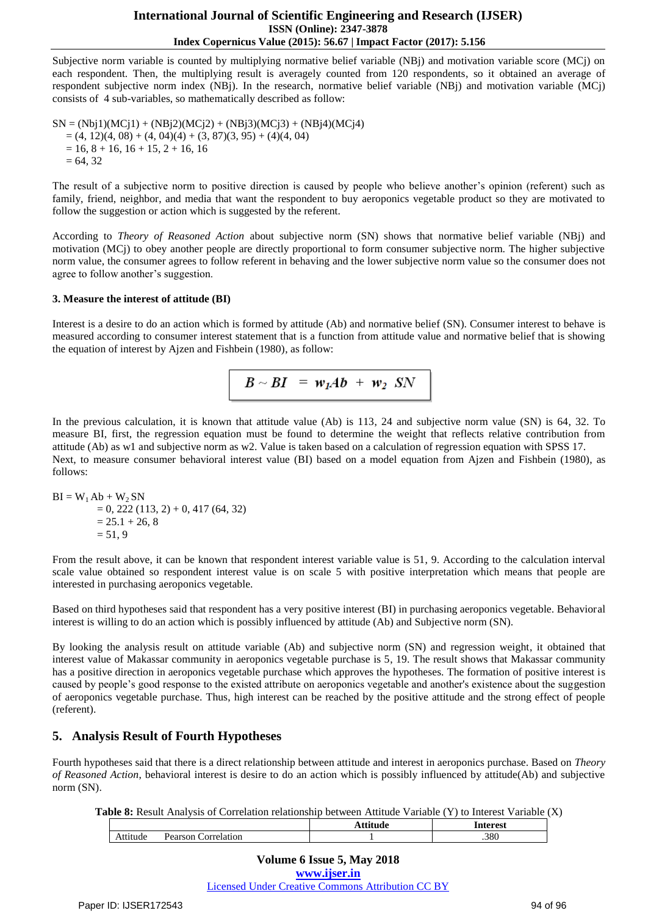## **International Journal of Scientific Engineering and Research (IJSER) ISSN (Online): 2347-3878 Index Copernicus Value (2015): 56.67 | Impact Factor (2017): 5.156**

Subjective norm variable is counted by multiplying normative belief variable (NBj) and motivation variable score (MCj) on each respondent. Then, the multiplying result is averagely counted from 120 respondents, so it obtained an average of respondent subjective norm index (NBj). In the research, normative belief variable (NBj) and motivation variable (MCj) consists of 4 sub-variables, so mathematically described as follow:

 $SN = (Nb<sub>1</sub>)(MC<sub>1</sub>1) + (NB<sub>1</sub>2)(MC<sub>1</sub>2) + (NB<sub>1</sub>3)(MC<sub>1</sub>3) + (NB<sub>1</sub>4)(MC<sub>1</sub>4)$  $=(4, 12)(4, 08) + (4, 04)(4) + (3, 87)(3, 95) + (4)(4, 04)$  $= 16, 8 + 16, 16 + 15, 2 + 16, 16$  $= 64, 32$ 

The result of a subjective norm to positive direction is caused by people who believe another's opinion (referent) such as family, friend, neighbor, and media that want the respondent to buy aeroponics vegetable product so they are motivated to follow the suggestion or action which is suggested by the referent.

According to *Theory of Reasoned Action* about subjective norm (SN) shows that normative belief variable (NBj) and motivation (MCj) to obey another people are directly proportional to form consumer subjective norm. The higher subjective norm value, the consumer agrees to follow referent in behaving and the lower subjective norm value so the consumer does not agree to follow another's suggestion.

## **3. Measure the interest of attitude (BI)**

Interest is a desire to do an action which is formed by attitude (Ab) and normative belief (SN). Consumer interest to behave is measured according to consumer interest statement that is a function from attitude value and normative belief that is showing the equation of interest by Ajzen and Fishbein (1980), as follow:

$$
B \sim BI = w_I Ab + w_2 SN
$$

In the previous calculation, it is known that attitude value (Ab) is 113, 24 and subjective norm value (SN) is 64, 32. To measure BI, first, the regression equation must be found to determine the weight that reflects relative contribution from attitude (Ab) as w1 and subjective norm as w2. Value is taken based on a calculation of regression equation with SPSS 17. Next, to measure consumer behavioral interest value (BI) based on a model equation from Ajzen and Fishbein (1980), as follows:

$$
BI = W1 Ab + W2 SN= 0, 222 (113, 2) + 0, 417 (64, 32)= 25.1 + 26, 8= 51, 9
$$

From the result above, it can be known that respondent interest variable value is 51, 9. According to the calculation interval scale value obtained so respondent interest value is on scale 5 with positive interpretation which means that people are interested in purchasing aeroponics vegetable.

Based on third hypotheses said that respondent has a very positive interest (BI) in purchasing aeroponics vegetable. Behavioral interest is willing to do an action which is possibly influenced by attitude (Ab) and Subjective norm (SN).

By looking the analysis result on attitude variable (Ab) and subjective norm (SN) and regression weight, it obtained that interest value of Makassar community in aeroponics vegetable purchase is 5, 19. The result shows that Makassar community has a positive direction in aeroponics vegetable purchase which approves the hypotheses. The formation of positive interest is caused by people's good response to the existed attribute on aeroponics vegetable and another's existence about the suggestion of aeroponics vegetable purchase. Thus, high interest can be reached by the positive attitude and the strong effect of people (referent).

# **5. Analysis Result of Fourth Hypotheses**

Fourth hypotheses said that there is a direct relationship between attitude and interest in aeroponics purchase. Based on *Theory of Reasoned Action*, behavioral interest is desire to do an action which is possibly influenced by attitude(Ab) and subjective norm (SN).

| Table 8: Result Analysis of Correlation relationship between Attitude Variable (Y) to Interest Variable (X) |  |  |  |
|-------------------------------------------------------------------------------------------------------------|--|--|--|
|-------------------------------------------------------------------------------------------------------------|--|--|--|

|                                                | $\cdot\cdot\cdot$<br>пι | toroct<br>cэı |
|------------------------------------------------|-------------------------|---------------|
| `∩rrei⊹<br>Pagreon<br>∸ude -<br>∙latı∩r<br>-21 |                         | .380          |

**Volume 6 Issue 5, May 2018 <www.ijser.in>** [Licensed Under Creative Commons Attribution CC BY](http://creativecommons.org/licenses/by/4.0/)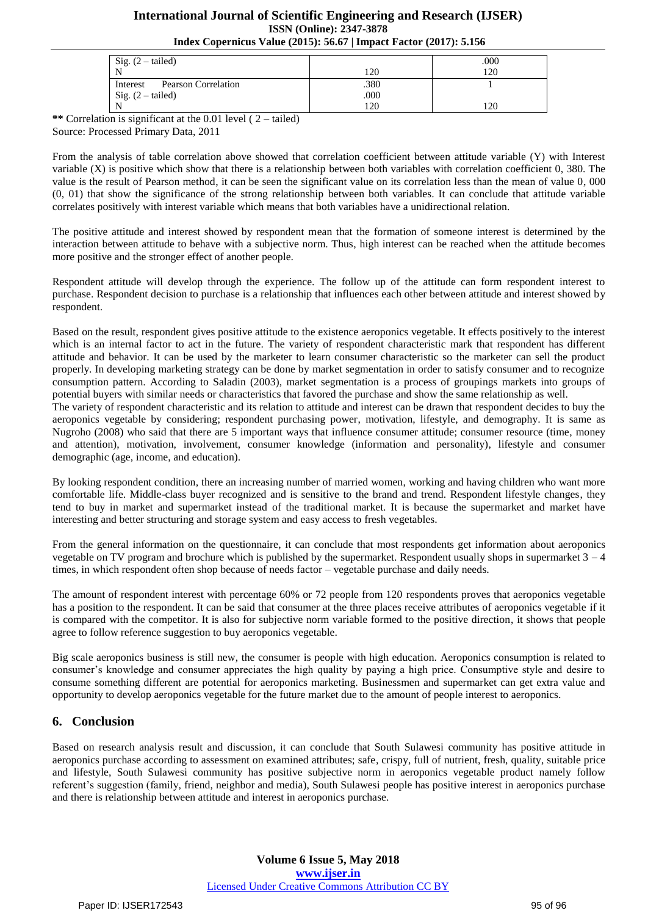# **International Journal of Scientific Engineering and Research (IJSER) ISSN (Online): 2347-3878 Index Copernicus Value (2015): 56.67 | Impact Factor (2017): 5.156**

| Sig. $(2 - \text{tailed})$             |      | .000 |
|----------------------------------------|------|------|
| N                                      | 20ء  | 120  |
| <b>Pearson Correlation</b><br>Interest | .380 |      |
| Sig. $(2 - \text{tailed})$             | .000 |      |
| N                                      | 120  | 20   |

**\*\*** Correlation is significant at the 0.01 level ( 2 – tailed) Source: Processed Primary Data, 2011

From the analysis of table correlation above showed that correlation coefficient between attitude variable (Y) with Interest variable (X) is positive which show that there is a relationship between both variables with correlation coefficient 0, 380. The value is the result of Pearson method, it can be seen the significant value on its correlation less than the mean of value 0, 000 (0, 01) that show the significance of the strong relationship between both variables. It can conclude that attitude variable correlates positively with interest variable which means that both variables have a unidirectional relation.

The positive attitude and interest showed by respondent mean that the formation of someone interest is determined by the interaction between attitude to behave with a subjective norm. Thus, high interest can be reached when the attitude becomes more positive and the stronger effect of another people.

Respondent attitude will develop through the experience. The follow up of the attitude can form respondent interest to purchase. Respondent decision to purchase is a relationship that influences each other between attitude and interest showed by respondent.

Based on the result, respondent gives positive attitude to the existence aeroponics vegetable. It effects positively to the interest which is an internal factor to act in the future. The variety of respondent characteristic mark that respondent has different attitude and behavior. It can be used by the marketer to learn consumer characteristic so the marketer can sell the product properly. In developing marketing strategy can be done by market segmentation in order to satisfy consumer and to recognize consumption pattern. According to Saladin (2003), market segmentation is a process of groupings markets into groups of potential buyers with similar needs or characteristics that favored the purchase and show the same relationship as well.

The variety of respondent characteristic and its relation to attitude and interest can be drawn that respondent decides to buy the aeroponics vegetable by considering; respondent purchasing power, motivation, lifestyle, and demography. It is same as Nugroho (2008) who said that there are 5 important ways that influence consumer attitude; consumer resource (time, money and attention), motivation, involvement, consumer knowledge (information and personality), lifestyle and consumer demographic (age, income, and education).

By looking respondent condition, there an increasing number of married women, working and having children who want more comfortable life. Middle-class buyer recognized and is sensitive to the brand and trend. Respondent lifestyle changes, they tend to buy in market and supermarket instead of the traditional market. It is because the supermarket and market have interesting and better structuring and storage system and easy access to fresh vegetables.

From the general information on the questionnaire, it can conclude that most respondents get information about aeroponics vegetable on TV program and brochure which is published by the supermarket. Respondent usually shops in supermarket 3 – 4 times, in which respondent often shop because of needs factor – vegetable purchase and daily needs.

The amount of respondent interest with percentage 60% or 72 people from 120 respondents proves that aeroponics vegetable has a position to the respondent. It can be said that consumer at the three places receive attributes of aeroponics vegetable if it is compared with the competitor. It is also for subjective norm variable formed to the positive direction, it shows that people agree to follow reference suggestion to buy aeroponics vegetable.

Big scale aeroponics business is still new, the consumer is people with high education. Aeroponics consumption is related to consumer's knowledge and consumer appreciates the high quality by paying a high price. Consumptive style and desire to consume something different are potential for aeroponics marketing. Businessmen and supermarket can get extra value and opportunity to develop aeroponics vegetable for the future market due to the amount of people interest to aeroponics.

# **6. Conclusion**

Based on research analysis result and discussion, it can conclude that South Sulawesi community has positive attitude in aeroponics purchase according to assessment on examined attributes; safe, crispy, full of nutrient, fresh, quality, suitable price and lifestyle, South Sulawesi community has positive subjective norm in aeroponics vegetable product namely follow referent's suggestion (family, friend, neighbor and media), South Sulawesi people has positive interest in aeroponics purchase and there is relationship between attitude and interest in aeroponics purchase.